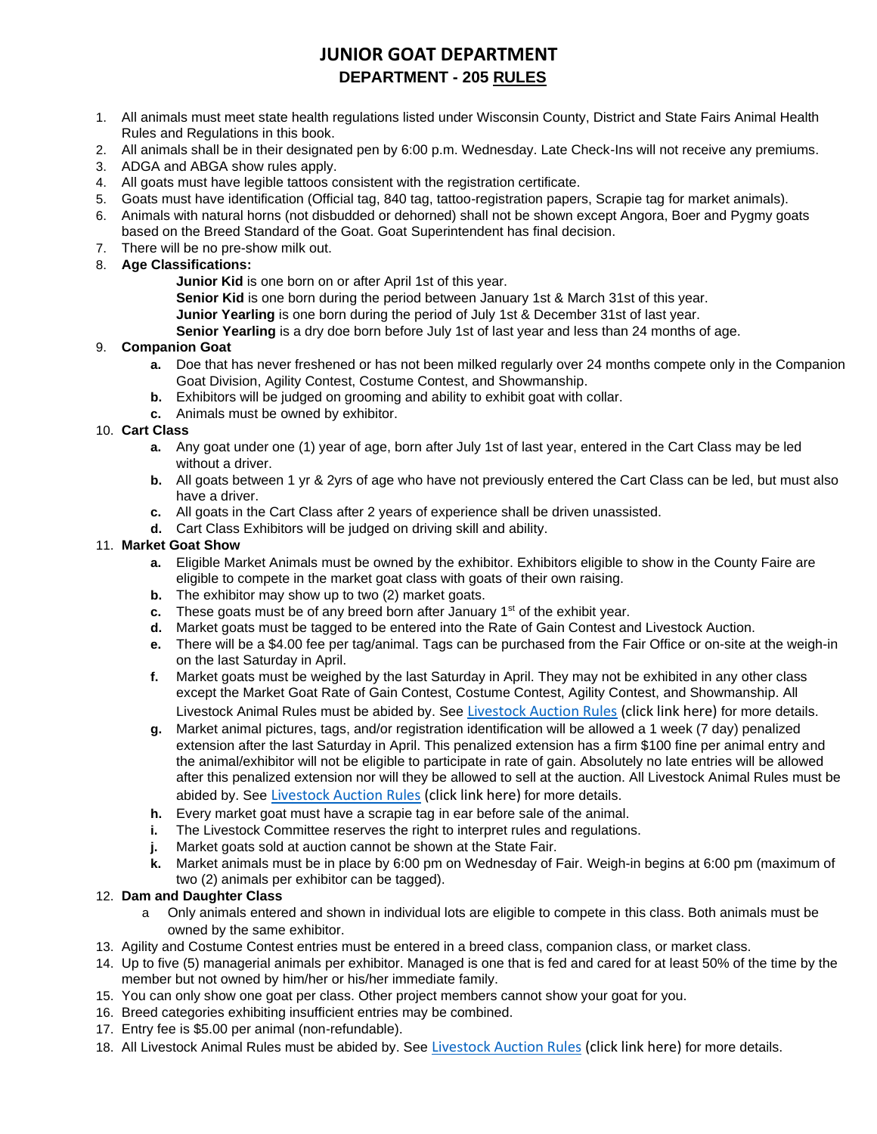# **JUNIOR GOAT DEPARTMENT DEPARTMENT - 205 RULES**

- 1. All animals must meet state health regulations listed under Wisconsin County, District and State Fairs Animal Health Rules and Regulations in this book.
- 2. All animals shall be in their designated pen by 6:00 p.m. Wednesday. Late Check-Ins will not receive any premiums.
- 3. ADGA and ABGA show rules apply.
- 4. All goats must have legible tattoos consistent with the registration certificate.
- 5. Goats must have identification (Official tag, 840 tag, tattoo-registration papers, Scrapie tag for market animals).
- 6. Animals with natural horns (not disbudded or dehorned) shall not be shown except Angora, Boer and Pygmy goats based on the Breed Standard of the Goat. Goat Superintendent has final decision.
- 7. There will be no pre-show milk out.

### 8. **Age Classifications:**

- **Junior Kid** is one born on or after April 1st of this year.
- **Senior Kid** is one born during the period between January 1st & March 31st of this year.
- **Junior Yearling** is one born during the period of July 1st & December 31st of last year.

**Senior Yearling** is a dry doe born before July 1st of last year and less than 24 months of age.

### 9. **Companion Goat**

- **a.** Doe that has never freshened or has not been milked regularly over 24 months compete only in the Companion Goat Division, Agility Contest, Costume Contest, and Showmanship.
- **b.** Exhibitors will be judged on grooming and ability to exhibit goat with collar.
- **c.** Animals must be owned by exhibitor.

### 10. **Cart Class**

- **a.** Any goat under one (1) year of age, born after July 1st of last year, entered in the Cart Class may be led without a driver.
- **b.** All goats between 1 yr & 2yrs of age who have not previously entered the Cart Class can be led, but must also have a driver.
- **c.** All goats in the Cart Class after 2 years of experience shall be driven unassisted.
- **d.** Cart Class Exhibitors will be judged on driving skill and ability.

#### 11. **Market Goat Show**

- **a.** Eligible Market Animals must be owned by the exhibitor. Exhibitors eligible to show in the County Faire are eligible to compete in the market goat class with goats of their own raising.
- **b.** The exhibitor may show up to two (2) market goats.
- **c.** These goats must be of any breed born after January 1<sup>st</sup> of the exhibit year.
- **d.** Market goats must be tagged to be entered into the Rate of Gain Contest and Livestock Auction.
- **e.** There will be a \$4.00 fee per tag/animal. Tags can be purchased from the Fair Office or on-site at the weigh-in on the last Saturday in April.
- **f.** Market goats must be weighed by the last Saturday in April. They may not be exhibited in any other class except the Market Goat Rate of Gain Contest, Costume Contest, Agility Contest, and Showmanship. All Livestock Animal Rules must be abided by. See [Livestock Auction Rules](https://www.waukeshacountyfair.com/wp-content/uploads/2022/03/2022-LivestockAUCTIONRules.pdf) (click link here) for more details.
- **g.** Market animal pictures, tags, and/or registration identification will be allowed a 1 week (7 day) penalized extension after the last Saturday in April. This penalized extension has a firm \$100 fine per animal entry and the animal/exhibitor will not be eligible to participate in rate of gain. Absolutely no late entries will be allowed after this penalized extension nor will they be allowed to sell at the auction. All Livestock Animal Rules must be abided by. See [Livestock Auction Rules](https://www.waukeshacountyfair.com/wp-content/uploads/2022/03/2022-LivestockAUCTIONRules.pdf) (click link here) for more details.
- **h.** Every market goat must have a scrapie tag in ear before sale of the animal.
- **i.** The Livestock Committee reserves the right to interpret rules and regulations.
- **j.** Market goats sold at auction cannot be shown at the State Fair.
- **k.** Market animals must be in place by 6:00 pm on Wednesday of Fair. Weigh-in begins at 6:00 pm (maximum of two (2) animals per exhibitor can be tagged).

### 12. **Dam and Daughter Class**

- a Only animals entered and shown in individual lots are eligible to compete in this class. Both animals must be owned by the same exhibitor.
- 13. Agility and Costume Contest entries must be entered in a breed class, companion class, or market class.
- 14. Up to five (5) managerial animals per exhibitor. Managed is one that is fed and cared for at least 50% of the time by the member but not owned by him/her or his/her immediate family.
- 15. You can only show one goat per class. Other project members cannot show your goat for you.
- 16. Breed categories exhibiting insufficient entries may be combined.
- 17. Entry fee is \$5.00 per animal (non-refundable).
- 18. All Livestock Animal Rules must be abided by. See [Livestock Auction Rules](https://www.waukeshacountyfair.com/wp-content/uploads/2022/03/2022-LivestockAUCTIONRules.pdf) (click link here) for more details.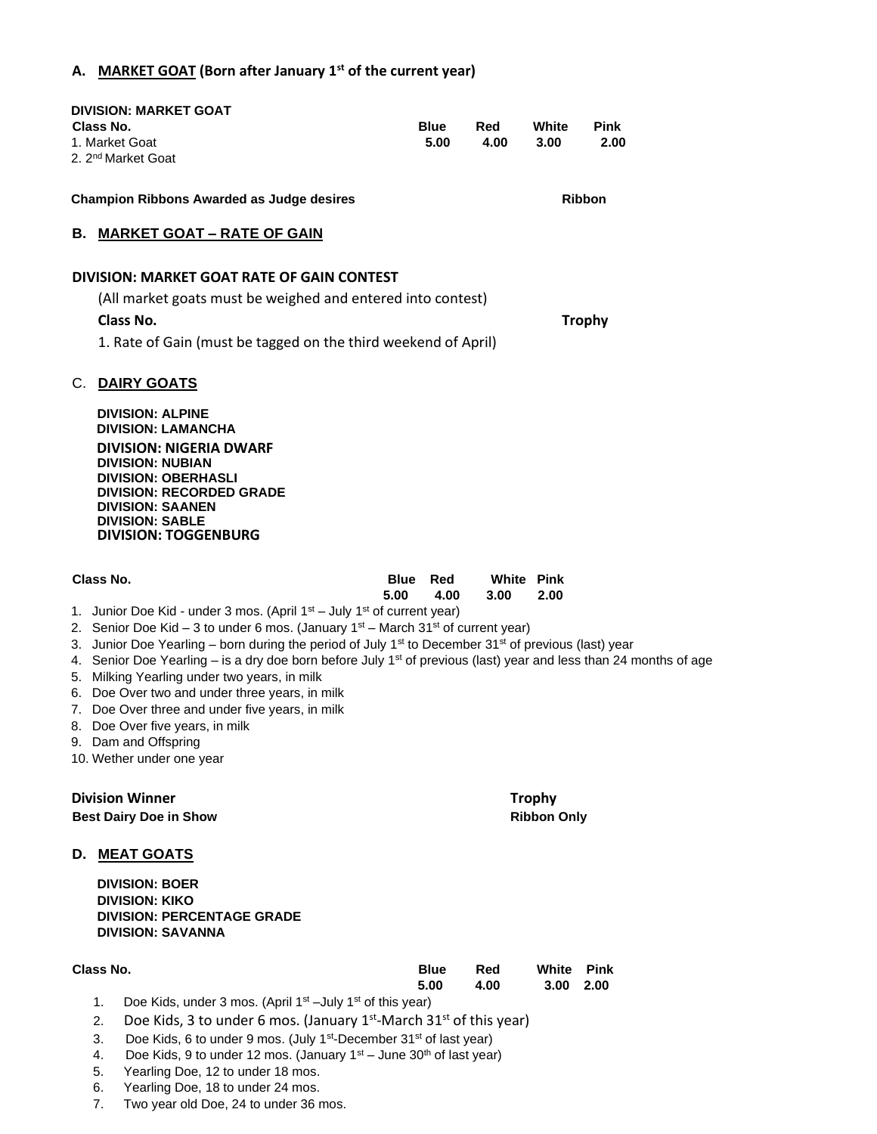## **A. MARKET GOAT (Born after January 1st of the current year)**

| Class No.                                                                                                 | <b>DIVISION: MARKET GOAT</b><br>1. Market Goat<br>2. 2 <sup>nd</sup> Market Goat                                                                                                                                                                                                                                                                                                                                                                                                                                                                                                                                                                                                  |                     | <b>Blue</b><br>5.00 | Red<br>4.00               | White<br>3.00 | <b>Pink</b><br>2.00 |  |
|-----------------------------------------------------------------------------------------------------------|-----------------------------------------------------------------------------------------------------------------------------------------------------------------------------------------------------------------------------------------------------------------------------------------------------------------------------------------------------------------------------------------------------------------------------------------------------------------------------------------------------------------------------------------------------------------------------------------------------------------------------------------------------------------------------------|---------------------|---------------------|---------------------------|---------------|---------------------|--|
| <b>Champion Ribbons Awarded as Judge desires</b>                                                          |                                                                                                                                                                                                                                                                                                                                                                                                                                                                                                                                                                                                                                                                                   |                     |                     | <b>Ribbon</b>             |               |                     |  |
| В.                                                                                                        | <b>MARKET GOAT - RATE OF GAIN</b>                                                                                                                                                                                                                                                                                                                                                                                                                                                                                                                                                                                                                                                 |                     |                     |                           |               |                     |  |
| DIVISION: MARKET GOAT RATE OF GAIN CONTEST<br>(All market goats must be weighed and entered into contest) |                                                                                                                                                                                                                                                                                                                                                                                                                                                                                                                                                                                                                                                                                   |                     |                     |                           |               |                     |  |
|                                                                                                           | <b>Class No.</b><br><b>Trophy</b><br>1. Rate of Gain (must be tagged on the third weekend of April)                                                                                                                                                                                                                                                                                                                                                                                                                                                                                                                                                                               |                     |                     |                           |               |                     |  |
| C.                                                                                                        | <b>DAIRY GOATS</b><br><b>DIVISION: ALPINE</b><br><b>DIVISION: LAMANCHA</b><br><b>DIVISION: NIGERIA DWARF</b><br><b>DIVISION: NUBIAN</b><br><b>DIVISION: OBERHASLI</b><br><b>DIVISION: RECORDED GRADE</b><br><b>DIVISION: SAANEN</b><br><b>DIVISION: SABLE</b><br><b>DIVISION: TOGGENBURG</b>                                                                                                                                                                                                                                                                                                                                                                                      |                     |                     |                           |               |                     |  |
| Class No.                                                                                                 |                                                                                                                                                                                                                                                                                                                                                                                                                                                                                                                                                                                                                                                                                   | <b>Blue</b><br>5.00 | Red<br>4.00         | <b>White Pink</b><br>3.00 | 2.00          |                     |  |
|                                                                                                           | 1. Junior Doe Kid - under 3 mos. (April $1st$ – July $1st$ of current year)<br>2. Senior Doe Kid - 3 to under 6 mos. (January $1st$ – March $31st$ of current year)<br>3. Junior Doe Yearling – born during the period of July 1 <sup>st</sup> to December 31 <sup>st</sup> of previous (last) year<br>4. Senior Doe Yearling – is a dry doe born before July 1 <sup>st</sup> of previous (last) year and less than 24 months of age<br>5. Milking Yearling under two years, in milk<br>6. Doe Over two and under three years, in milk<br>7. Doe Over three and under five years, in milk<br>8. Doe Over five years, in milk<br>9. Dam and Offspring<br>10. Wether under one year |                     |                     |                           |               |                     |  |

 **Division Winner Trophy Best Dairy Doe in Show Ribbon Only All and Show Ribbon Only Ribbon Only All and All and All and All and All and All and All and All and All and All and All and All and All and All and All and All and All and All and All a** 

**D. MEAT GOATS**

**DIVISION: BOER DIVISION: KIKO DIVISION: PERCENTAGE GRADE DIVISION: SAVANNA** 

| Class No. | <b>Blue</b> | Red  | White Pink |  |
|-----------|-------------|------|------------|--|
|           | 5.00        | 4.00 | 3.00 2.00  |  |

- 1. Doe Kids, under 3 mos. (April  $1<sup>st</sup>$  –July  $1<sup>st</sup>$  of this year)
- 2. Doe Kids, 3 to under 6 mos. (January  $1^{st}$ -March 31 $^{st}$  of this year)
- 3. Doe Kids, 6 to under 9 mos. (July 1<sup>st</sup>-December 31<sup>st</sup> of last year)
- 4. Doe Kids, 9 to under 12 mos. (January  $1<sup>st</sup> -$  June  $30<sup>th</sup>$  of last year)
- 5. Yearling Doe, 12 to under 18 mos.
- 6. Yearling Doe, 18 to under 24 mos.
- 7. Two year old Doe, 24 to under 36 mos.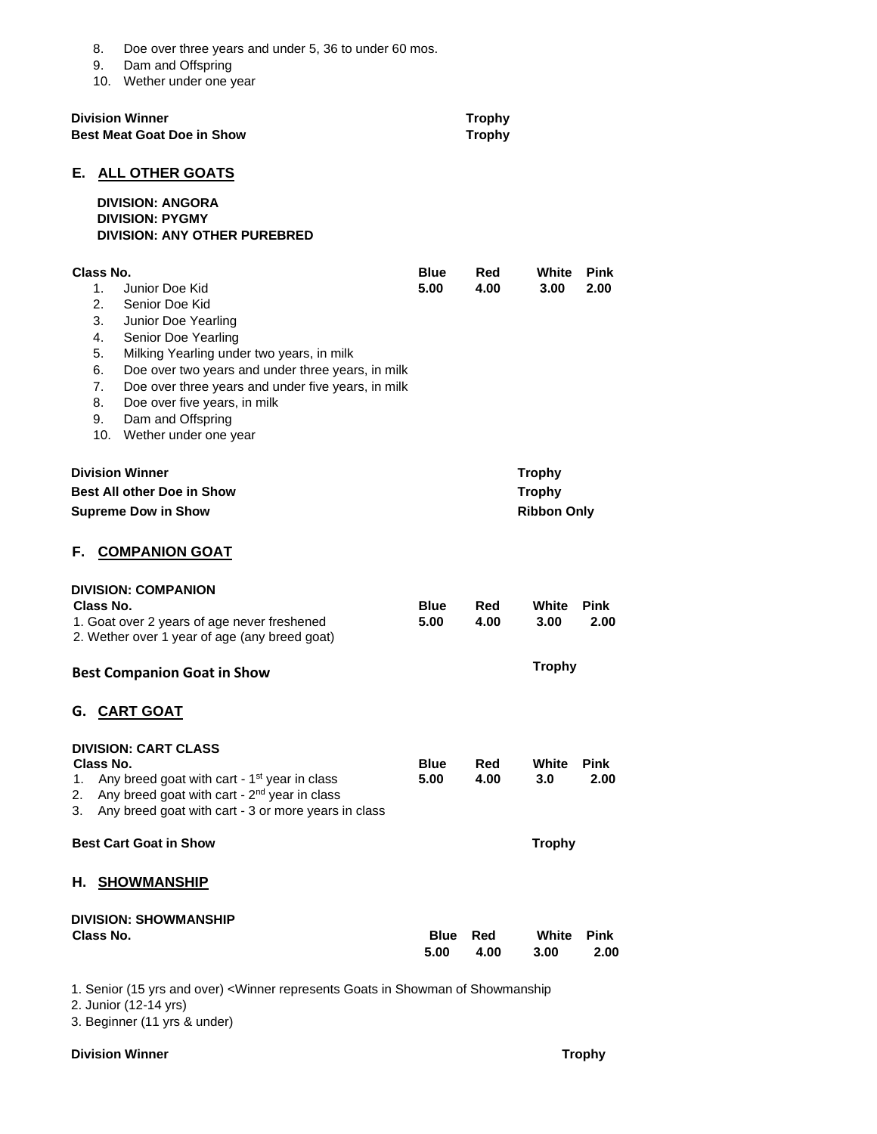|                                                                                           | Class No.                                                       | <b>DIVISION: SHOWMANSHIP</b>                                                                                                                                                                                                                                                                                                                                                                                                               | Blue<br>5.00                                         | Red<br>4.00   | White<br>3.00 | Pink<br>2.00 |
|-------------------------------------------------------------------------------------------|-----------------------------------------------------------------|--------------------------------------------------------------------------------------------------------------------------------------------------------------------------------------------------------------------------------------------------------------------------------------------------------------------------------------------------------------------------------------------------------------------------------------------|------------------------------------------------------|---------------|---------------|--------------|
| Н.                                                                                        |                                                                 | <b>SHOWMANSHIP</b>                                                                                                                                                                                                                                                                                                                                                                                                                         |                                                      |               |               |              |
| <b>Best Cart Goat in Show</b>                                                             |                                                                 |                                                                                                                                                                                                                                                                                                                                                                                                                                            |                                                      | <b>Trophy</b> |               |              |
| 1.<br>2.                                                                                  | Class No.                                                       | <b>DIVISION: CART CLASS</b><br>Any breed goat with cart - 1 <sup>st</sup> year in class<br>Any breed goat with cart - 2 <sup>nd</sup> year in class<br>Any breed goat with cart - 3 or more years in class                                                                                                                                                                                                                                 | Blue<br>5.00                                         | Red<br>4.00   | White<br>3.0  | Pink<br>2.00 |
|                                                                                           |                                                                 | G. CART GOAT                                                                                                                                                                                                                                                                                                                                                                                                                               |                                                      |               |               |              |
|                                                                                           |                                                                 | <b>Best Companion Goat in Show</b>                                                                                                                                                                                                                                                                                                                                                                                                         |                                                      |               | <b>Trophy</b> |              |
|                                                                                           | Class No.                                                       | <b>DIVISION: COMPANION</b><br>1. Goat over 2 years of age never freshened<br>2. Wether over 1 year of age (any breed goat)                                                                                                                                                                                                                                                                                                                 | <b>Blue</b><br>5.00                                  | Red<br>4.00   | White<br>3.00 | Pink<br>2.00 |
| F.,                                                                                       |                                                                 | <b>COMPANION GOAT</b>                                                                                                                                                                                                                                                                                                                                                                                                                      |                                                      |               |               |              |
| <b>Division Winner</b><br><b>Best All other Doe in Show</b><br><b>Supreme Dow in Show</b> |                                                                 |                                                                                                                                                                                                                                                                                                                                                                                                                                            | <b>Trophy</b><br><b>Trophy</b><br><b>Ribbon Only</b> |               |               |              |
|                                                                                           | Class No.<br>1.<br>2.<br>3.<br>4.<br>5.<br>6.<br>7.<br>8.<br>9. | E. ALL OTHER GOATS<br><b>DIVISION: ANGORA</b><br><b>DIVISION: PYGMY</b><br><b>DIVISION: ANY OTHER PUREBRED</b><br>Junior Doe Kid<br>Senior Doe Kid<br>Junior Doe Yearling<br>Senior Doe Yearling<br>Milking Yearling under two years, in milk<br>Doe over two years and under three years, in milk<br>Doe over three years and under five years, in milk<br>Doe over five years, in milk<br>Dam and Offspring<br>10. Wether under one year | <b>Blue</b><br>5.00                                  | Red<br>4.00   | White<br>3.00 | Pink<br>2.00 |
|                                                                                           |                                                                 | <b>Best Meat Goat Doe in Show</b>                                                                                                                                                                                                                                                                                                                                                                                                          |                                                      | <b>Trophy</b> |               |              |
|                                                                                           |                                                                 | <b>Division Winner</b>                                                                                                                                                                                                                                                                                                                                                                                                                     |                                                      | <b>Trophy</b> |               |              |
|                                                                                           | 8.<br>9.                                                        | Doe over three years and under 5, 36 to under 60 mos.<br>Dam and Offspring<br>10. Wether under one year                                                                                                                                                                                                                                                                                                                                    |                                                      |               |               |              |

1. Senior (15 yrs and over) <Winner represents Goats in Showman of Showmanship

2. Junior (12-14 yrs)

3. Beginner (11 yrs & under)